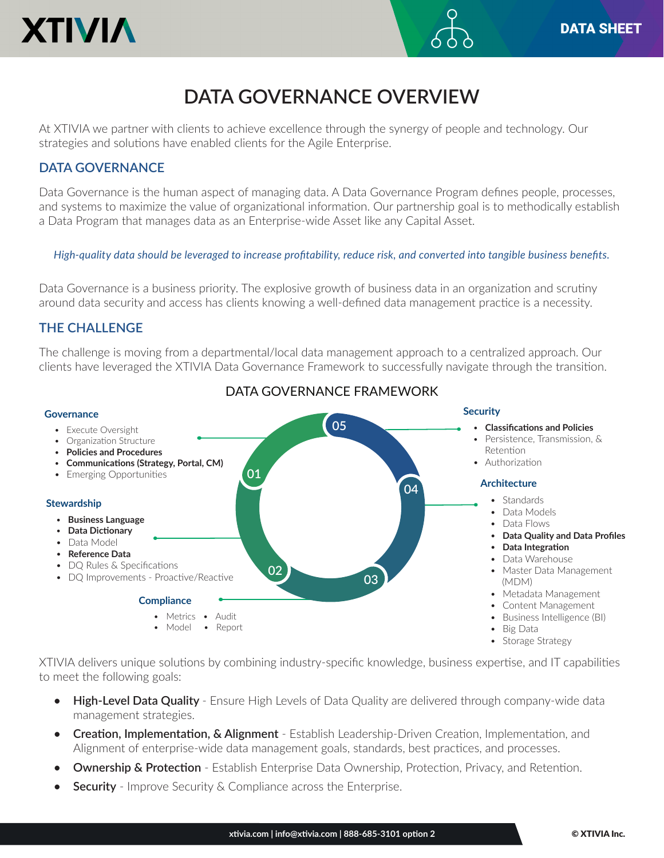

# **DATA GOVERNANCE OVERVIEW**

At XTIVIA we partner with clients to achieve excellence through the synergy of people and technology. Our strategies and solutions have enabled clients for the Agile Enterprise.

# **DATA GOVERNANCE**

Data Governance is the human aspect of managing data. A Data Governance Program defines people, processes, and systems to maximize the value of organizational information. Our partnership goal is to methodically establish a Data Program that manages data as an Enterprise-wide Asset like any Capital Asset.

*High-quality data should be leveraged to increase profitability, reduce risk, and converted into tangible business benefits.*

Data Governance is a business priority. The explosive growth of business data in an organization and scrutiny around data security and access has clients knowing a well-defined data management practice is a necessity.

# **THE CHALLENGE**

The challenge is moving from a departmental/local data management approach to a centralized approach. Our clients have leveraged the XTIVIA Data Governance Framework to successfully navigate through the transition.



DATA GOVERNANCE FRAMEWORK

XTIVIA delivers unique solutions by combining industry-specific knowledge, business expertise, and IT capabilities to meet the following goals:

- **• High-Level Data Quality**  Ensure High Levels of Data Quality are delivered through company-wide data management strategies.
- **• Creation, Implementation, & Alignment** Establish Leadership-Driven Creation, Implementation, and Alignment of enterprise-wide data management goals, standards, best practices, and processes.
- **•• Ownership & Protection** Establish Enterprise Data Ownership, Protection, Privacy, and Retention.
- **Security** Improve Security & Compliance across the Enterprise.